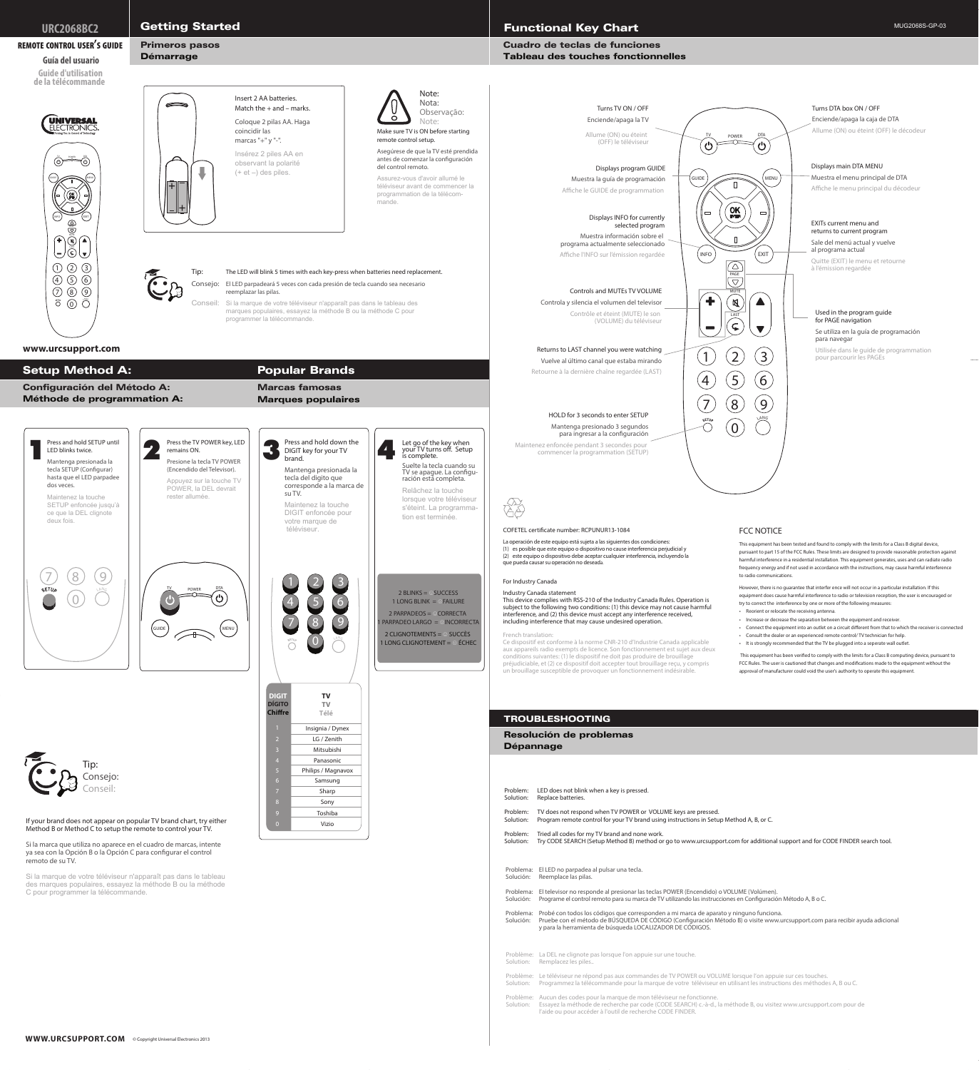If your brand does not appear on popular TV brand chart, try either Method B or Method C to setup the remote to control your TV.

Si la marca que utiliza no aparece en el cuadro de marcas, intente ya sea con la Opción B o la Opción C para configurar el control remoto de su TV.

Si la marque de votre téléviseur n'apparaît pas dans le tableau des marques populaires, essayez la méthode B ou la méthode C pour programmer la télécommande.





This equipment has been verified to comply with the limits for a Class B computing device, pursuant to FCC Rules. The user is cautioned that changes and modifications made to the equipment without the approval of manufacturer could void the user's authority to operate this equipment.

est sujet aux deux conditions suivantes: (1) le dispositif ne doit pas produire de brouillage préjudiciable, et (2) ce dispositif doit accepter tout brouillage reçu, y compris un brouillage susceptible de provoquer un fonctionnement indésirable.

Problema: El LED no parpadea al pulsar una tecla. Solución: Reemplace las pilas. Problema: El televisor no responde al presionar las teclas POWER (Encendido) o VOLUME (Volúmen). Solución: Programe el control remoto para su marca de TV utilizando las instrucciones en Configuración Método A, B o C. Problema: Probé con todos los códigos que corresponden a mi marca de aparato y ninguno funciona. Solución: Pruebe con el método de BÚSQUEDA DE CÓDIGO (Configuración Método B) o visite www.urcsupport.com para recibir ayuda adicional y para la herramienta de búsqueda LOCALIZADOR DE CÓDIGOS. Problem: LED does not blink when a key is pressed. Solution: Replace batteries. Problem: TV does not respond when TV POWER or VOLUME keys are pressed. Solution: Program remote control for your TV brand using instructions in Setup Method A, B, or C. Problem: Tried all codes for my TV brand and none work. Solution: Try CODE SEARCH (Setup Method B) method or go to www.urcsupport.com for additional support and for CODE FINDER search tool. Problème: La DEL ne clignote pas lorsque l'on appuie sur une touche. Solution: Remplacez les piles.. Problème: Le téléviseur ne répond pas aux commandes de TV POWER ou VOLUME lorsque l'on appuie sur ces touches. Solution: Programmez la télécommande pour la marque de votre téléviseur en utilisant les instructions des méthodes A, B ou C. Problème: Aucun des codes pour la marque de mon téléviseur ne fonctionne.

Solution: Essayez la méthode de recherche par code (CODE SEARCH) c.-à-d., la méthode B, ou visitez www.urcsupport.com pour de l'aide ou pour accéder à l'outil de recherche CODE FINDER.

### TROUBLESHOOTING

## Resolución de problemas

### Dépannage

**DIGIT DÍGITO Chiffre TV TV Télé** 2 3 4 6 8 9 0 Insignia / Dynex LG / Zenith Mitsubishi Panasonic Philips / Magnavox Samsung Sharp Sony Toshiba Vizio